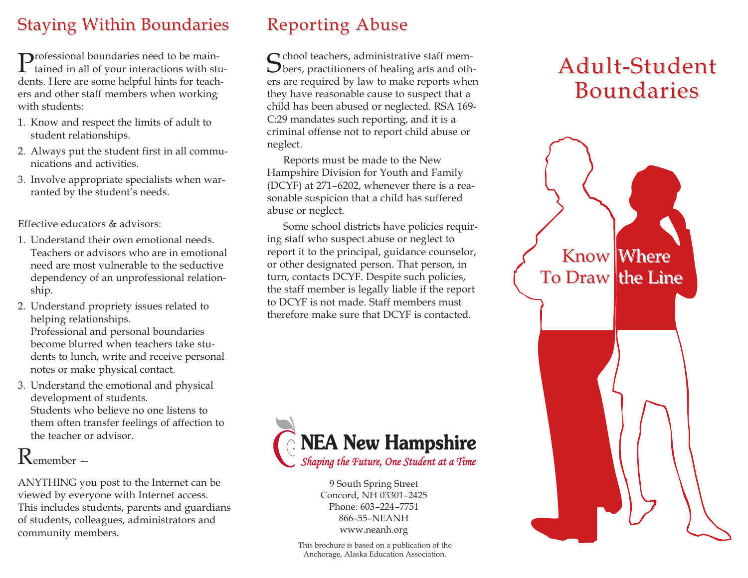#### **Staying Within Boundaries**

Professional boundaries need to be main-<br>tained in all of your interactions with students. Here are some helpful hints for teachers and other staff members when working with students:

- 1. Know and respect the limits of adult to student relationships.
- 2. Always put the student first in all communications and activities.
- 3. Involve appropriate specialists when warranted by the student's needs.

Effective educators & advisors:

- 1. Understand their own emotional needs. Teachers or advisors who are in emotional need are most vulnerable to the seductive dependency of an unprofessional relationship.
- 2. Understand propriety issues related to helping relationships. Professional and personal boundaries become blurred when teachers take students to lunch, write and receive personal notes or make physical contact.
- 3. Understand the emotional and physical development of students. Students who believe no one listens to them often transfer feelings of affection to the teacher or advisor.

## Remember —

ANYTHING you post to the Internet can be viewed by everyone with Internet access. This includes students, parents and guardians of students, colleagues, administrators and community members.

### Reporting Abuse

School teachers, administrative staff mem-<br>Sbers, practitioners of healing arts and others are required by law to make reports when they have reasonable cause to suspect that a child has been abused or neglected. RSA 169- C:29 mandates such reporting, and it is a criminal offense not to report child abuse or neglect.

Reports must be made to the New Hampshire Division for Youth and Family (DCYF) at 271–6202, whenever there is a reasonable suspicion that a child has suffered abuse or neglect.

Some school districts have policies requiring staff who suspect abuse or neglect to report it to the principal, guidance counselor, or other designated person. That person, in turn, contacts DCYF. Despite such policies, the staff member is legally liable if the report to DCYF is not made. Staff members must therefore make sure that DCYF is contacted.



9 South Spring Street Concord, NH 03301–2425 Phone: 603–224–7751 866–55–NEANH www.neanh.org

#### Adult-Student **Boundaries**



This brochure is based on a publication of the Anchorage, Alaska Education Association.